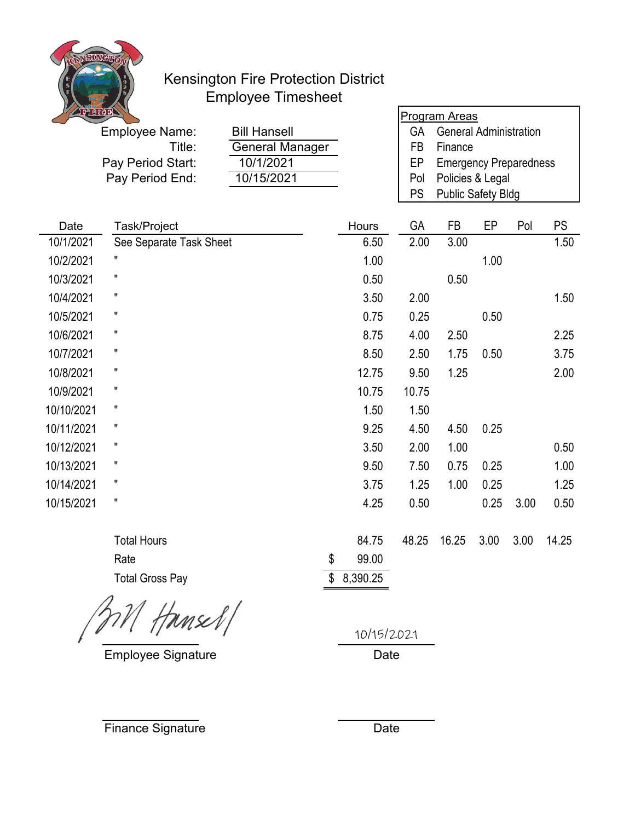

## Kensington Fire Protection District Employee Timesheet

| $\frac{1}{2}$ |                                |                     |          |           | <u>Program Areas</u>                                |      |      |           |  |
|---------------|--------------------------------|---------------------|----------|-----------|-----------------------------------------------------|------|------|-----------|--|
|               | <b>Employee Name:</b>          | <b>Bill Hansell</b> |          | <b>GA</b> | <b>General Administration</b>                       |      |      |           |  |
|               | Title:                         | General Manager     |          | FB        | Finance                                             |      |      |           |  |
|               | Pay Period Start:<br>10/1/2021 |                     |          | EP        | <b>Emergency Preparedness</b>                       |      |      |           |  |
|               | Pay Period End:                | 10/15/2021          |          | Pol       | Policies & Legal<br>PS<br><b>Public Safety Bldg</b> |      |      |           |  |
|               |                                |                     |          |           |                                                     |      |      |           |  |
| Date          | Task/Project                   |                     | Hours    | GA        | <b>FB</b>                                           | EP   | Pol  | <b>PS</b> |  |
| 10/1/2021     | See Separate Task Sheet        |                     | 6.50     | 2.00      | 3.00                                                |      |      | 1.50      |  |
| 10/2/2021     |                                |                     | 1.00     |           |                                                     | 1.00 |      |           |  |
| 10/3/2021     | 11                             |                     | 0.50     |           | 0.50                                                |      |      |           |  |
| 10/4/2021     | Ħ                              |                     | 3.50     | 2.00      |                                                     |      |      | 1.50      |  |
| 10/5/2021     | п                              |                     | 0.75     | 0.25      |                                                     | 0.50 |      |           |  |
| 10/6/2021     |                                |                     | 8.75     | 4.00      | 2.50                                                |      |      | 2.25      |  |
| 10/7/2021     | н                              |                     | 8.50     | 2.50      | 1.75                                                | 0.50 |      | 3.75      |  |
| 10/8/2021     | н                              |                     | 12.75    | 9.50      | 1.25                                                |      |      | 2.00      |  |
| 10/9/2021     | 11                             |                     | 10.75    | 10.75     |                                                     |      |      |           |  |
| 10/10/2021    | п                              |                     | 1.50     | 1.50      |                                                     |      |      |           |  |
| 10/11/2021    | $\pmb{\mathsf{H}}$             |                     | 9.25     | 4.50      | 4.50                                                | 0.25 |      |           |  |
| 10/12/2021    | п                              |                     | 3.50     | 2.00      | 1.00                                                |      |      | 0.50      |  |
| 10/13/2021    | Ħ                              |                     | 9.50     | 7.50      | 0.75                                                | 0.25 |      | 1.00      |  |
| 10/14/2021    | п                              |                     | 3.75     | 1.25      | 1.00                                                | 0.25 |      | 1.25      |  |
| 10/15/2021    | $\pmb{\mathsf{H}}$             |                     | 4.25     | 0.50      |                                                     | 0.25 | 3.00 | 0.50      |  |
|               | <b>Total Hours</b>             |                     | 84.75    | 48.25     | 16.25                                               | 3.00 | 3.00 | 14.25     |  |
|               | Rate                           | \$                  | 99.00    |           |                                                     |      |      |           |  |
|               | <b>Total Gross Pay</b>         | \$                  | 8,390.25 |           |                                                     |      |      |           |  |

 $371$  Hansel/

Employee Signature

10/15/2021

٦

Date

Finance Signature

Date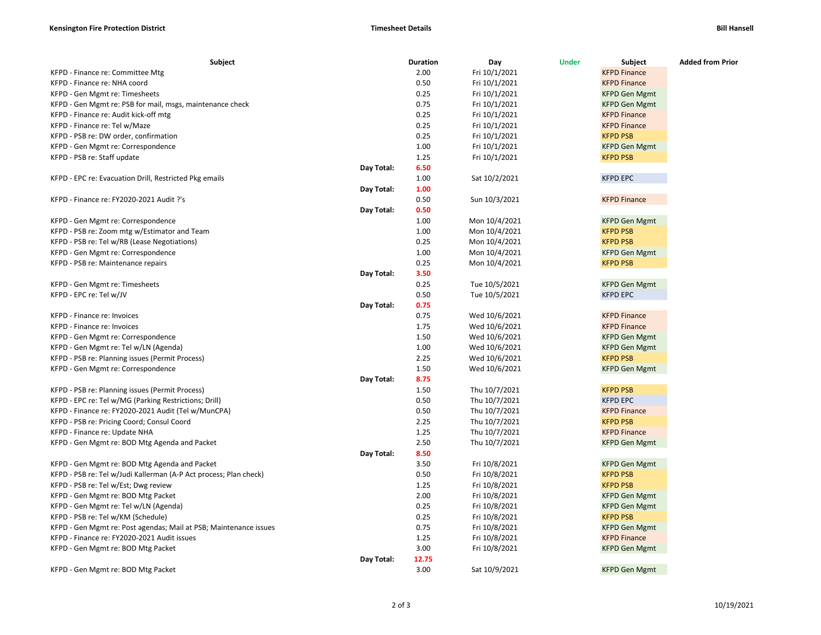| Subject                                                           |            | <b>Duration</b> | Day           | <b>Under</b> | Subject              | <b>Added from Prior</b> |
|-------------------------------------------------------------------|------------|-----------------|---------------|--------------|----------------------|-------------------------|
| KFPD - Finance re: Committee Mtg                                  |            | 2.00            | Fri 10/1/2021 |              | <b>KFPD Finance</b>  |                         |
| KFPD - Finance re: NHA coord                                      |            | 0.50            | Fri 10/1/2021 |              | <b>KFPD Finance</b>  |                         |
| KFPD - Gen Mgmt re: Timesheets                                    |            | 0.25            | Fri 10/1/2021 |              | <b>KFPD Gen Mgmt</b> |                         |
| KFPD - Gen Mgmt re: PSB for mail, msgs, maintenance check         |            | 0.75            | Fri 10/1/2021 |              | <b>KFPD Gen Mgmt</b> |                         |
| KFPD - Finance re: Audit kick-off mtg                             |            | 0.25            | Fri 10/1/2021 |              | <b>KFPD Finance</b>  |                         |
| KFPD - Finance re: Tel w/Maze                                     |            | 0.25            | Fri 10/1/2021 |              | <b>KFPD Finance</b>  |                         |
| KFPD - PSB re: DW order, confirmation                             |            | 0.25            | Fri 10/1/2021 |              | <b>KFPD PSB</b>      |                         |
| KFPD - Gen Mgmt re: Correspondence                                |            | 1.00            | Fri 10/1/2021 |              | <b>KFPD Gen Mgmt</b> |                         |
| KFPD - PSB re: Staff update                                       |            | 1.25            | Fri 10/1/2021 |              | <b>KFPD PSB</b>      |                         |
|                                                                   | Day Total: | 6.50            |               |              |                      |                         |
| KFPD - EPC re: Evacuation Drill, Restricted Pkg emails            |            | 1.00            | Sat 10/2/2021 |              | <b>KFPD EPC</b>      |                         |
|                                                                   | Day Total: | 1.00            |               |              |                      |                         |
| KFPD - Finance re: FY2020-2021 Audit ?'s                          |            | 0.50            | Sun 10/3/2021 |              | <b>KFPD Finance</b>  |                         |
|                                                                   | Day Total: | 0.50            |               |              |                      |                         |
| KFPD - Gen Mgmt re: Correspondence                                |            | 1.00            | Mon 10/4/2021 |              | <b>KFPD Gen Mgmt</b> |                         |
| KFPD - PSB re: Zoom mtg w/Estimator and Team                      |            | 1.00            | Mon 10/4/2021 |              | <b>KFPD PSB</b>      |                         |
| KFPD - PSB re: Tel w/RB (Lease Negotiations)                      |            | 0.25            | Mon 10/4/2021 |              | <b>KFPD PSB</b>      |                         |
| KFPD - Gen Mgmt re: Correspondence                                |            | 1.00            | Mon 10/4/2021 |              | <b>KFPD Gen Mgmt</b> |                         |
| KFPD - PSB re: Maintenance repairs                                |            | 0.25            | Mon 10/4/2021 |              | <b>KFPD PSB</b>      |                         |
|                                                                   | Day Total: | 3.50            |               |              |                      |                         |
| KFPD - Gen Mgmt re: Timesheets                                    |            | 0.25            | Tue 10/5/2021 |              | <b>KFPD Gen Mgmt</b> |                         |
| KFPD - EPC re: Tel w/JV                                           |            | 0.50            | Tue 10/5/2021 |              | <b>KFPD EPC</b>      |                         |
|                                                                   | Day Total: | 0.75            |               |              |                      |                         |
| KFPD - Finance re: Invoices                                       |            | 0.75            | Wed 10/6/2021 |              | <b>KFPD Finance</b>  |                         |
| KFPD - Finance re: Invoices                                       |            | 1.75            | Wed 10/6/2021 |              | <b>KFPD Finance</b>  |                         |
| KFPD - Gen Mgmt re: Correspondence                                |            | 1.50            | Wed 10/6/2021 |              | <b>KFPD Gen Mgmt</b> |                         |
| KFPD - Gen Mgmt re: Tel w/LN (Agenda)                             |            | 1.00            | Wed 10/6/2021 |              | <b>KFPD Gen Mgmt</b> |                         |
| KFPD - PSB re: Planning issues (Permit Process)                   |            | 2.25            | Wed 10/6/2021 |              | <b>KFPD PSB</b>      |                         |
| KFPD - Gen Mgmt re: Correspondence                                |            | 1.50            | Wed 10/6/2021 |              | <b>KFPD Gen Mgmt</b> |                         |
|                                                                   | Day Total: | 8.75            |               |              |                      |                         |
| KFPD - PSB re: Planning issues (Permit Process)                   |            | 1.50            | Thu 10/7/2021 |              | <b>KFPD PSB</b>      |                         |
| KFPD - EPC re: Tel w/MG (Parking Restrictions; Drill)             |            | 0.50            | Thu 10/7/2021 |              | <b>KFPD EPC</b>      |                         |
| KFPD - Finance re: FY2020-2021 Audit (Tel w/MunCPA)               |            | 0.50            | Thu 10/7/2021 |              | <b>KFPD Finance</b>  |                         |
| KFPD - PSB re: Pricing Coord; Consul Coord                        |            | 2.25            | Thu 10/7/2021 |              | <b>KFPD PSB</b>      |                         |
| KFPD - Finance re: Update NHA                                     |            | 1.25            | Thu 10/7/2021 |              | <b>KFPD Finance</b>  |                         |
| KFPD - Gen Mgmt re: BOD Mtg Agenda and Packet                     |            | 2.50            | Thu 10/7/2021 |              | <b>KFPD Gen Mgmt</b> |                         |
|                                                                   | Day Total: | 8.50            |               |              |                      |                         |
| KFPD - Gen Mgmt re: BOD Mtg Agenda and Packet                     |            | 3.50            | Fri 10/8/2021 |              | <b>KFPD Gen Mgmt</b> |                         |
| KFPD - PSB re: Tel w/Judi Kallerman (A-P Act process; Plan check) |            | 0.50            | Fri 10/8/2021 |              | <b>KFPD PSB</b>      |                         |
| KFPD - PSB re: Tel w/Est; Dwg review                              |            | 1.25            | Fri 10/8/2021 |              | <b>KFPD PSB</b>      |                         |
| KFPD - Gen Mgmt re: BOD Mtg Packet                                |            | 2.00            | Fri 10/8/2021 |              | <b>KFPD Gen Mgmt</b> |                         |
| KFPD - Gen Mgmt re: Tel w/LN (Agenda)                             |            | 0.25            | Fri 10/8/2021 |              | <b>KFPD Gen Mgmt</b> |                         |
| KFPD - PSB re: Tel w/KM (Schedule)                                |            | 0.25            | Fri 10/8/2021 |              | <b>KFPD PSB</b>      |                         |
| KFPD - Gen Mgmt re: Post agendas; Mail at PSB; Maintenance issues |            | 0.75            | Fri 10/8/2021 |              | <b>KFPD Gen Mgmt</b> |                         |
| KFPD - Finance re: FY2020-2021 Audit issues                       |            | 1.25            | Fri 10/8/2021 |              | <b>KFPD Finance</b>  |                         |
| KFPD - Gen Mgmt re: BOD Mtg Packet                                |            | 3.00            | Fri 10/8/2021 |              | <b>KFPD Gen Mgmt</b> |                         |
|                                                                   | Day Total: | 12.75           |               |              |                      |                         |
| KFPD - Gen Mgmt re: BOD Mtg Packet                                |            | 3.00            | Sat 10/9/2021 |              | <b>KFPD Gen Mgmt</b> |                         |